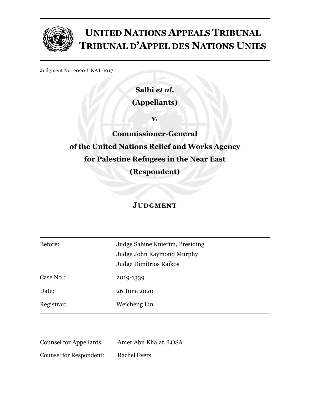

# **UNITED NATIONS APPEALS TRIBUNAL TRIBUNAL D'APPEL DES NATIONS UNIES**

Judgment No. 2020-UNAT-1017

**Salhi** *et al***. (Appellants)**

**v.**

**Commissioner-General of the United Nations Relief and Works Agency for Palestine Refugees in the Near East (Respondent)**

## **JUDGMENT**

| Before:    | Judge Sabine Knierim, Presiding |
|------------|---------------------------------|
|            | Judge John Raymond Murphy       |
|            | <b>Judge Dimitrios Raikos</b>   |
| Case No.:  | 2019-1339                       |
| Date:      | 26 June 2020                    |
| Registrar: | Weicheng Lin                    |

| <b>Counsel for Appellants:</b> | Amer Abu Khalaf, LOSA |
|--------------------------------|-----------------------|
| <b>Counsel for Respondent:</b> | <b>Rachel Evers</b>   |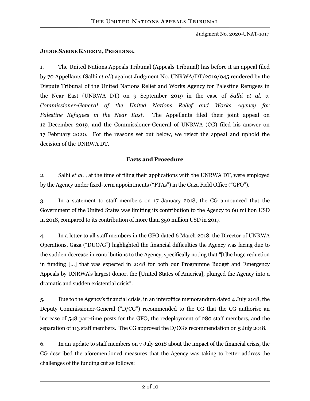#### **JUDGE SABINE KNIERIM, PRESIDING.**

1. The United Nations Appeals Tribunal (Appeals Tribunal) has before it an appeal filed by 70 Appellants (Salhi *et al.*) against Judgment No. UNRWA/DT/2019/045 rendered by the Dispute Tribunal of the United Nations Relief and Works Agency for Palestine Refugees in the Near East (UNRWA DT) on 9 September 2019 in the case of *Salhi et al. v. Commissioner-General of the United Nations Relief and Works Agency for Palestine Refugees in the Near East*. The Appellants filed their joint appeal on 12 December 2019, and the Commissioner-General of UNRWA (CG) filed his answer on 17 February 2020. For the reasons set out below, we reject the appeal and uphold the decision of the UNRWA DT.

#### **Facts and Procedure**

2. Salhi *et al*. , at the time of filing their applications with the UNRWA DT, were employed by the Agency under fixed-term appointments ("FTAs") in the Gaza Field Office ("GFO").

3. In a statement to staff members on 17 January 2018, the CG announced that the Government of the United States was limiting its contribution to the Agency to 60 million USD in 2018, compared to its contribution of more than 350 million USD in 2017.

4. In a letter to all staff members in the GFO dated 6 March 2018, the Director of UNRWA Operations, Gaza ("DUO/G") highlighted the financial difficulties the Agency was facing due to the sudden decrease in contributions to the Agency, specifically noting that "[t]he huge reduction in funding […] that was expected in 2018 for both our Programme Budget and Emergency Appeals by UNRWA's largest donor, the [United States of America], plunged the Agency into a dramatic and sudden existential crisis".

5. Due to the Agency's financial crisis, in an interoffice memorandum dated 4 July 2018, the Deputy Commissioner-General ("D/CG") recommended to the CG that the CG authorise an increase of 548 part-time posts for the GFO, the redeployment of 280 staff members, and the separation of 113 staff members. The CG approved the D/CG's recommendation on 5 July 2018.

6. In an update to staff members on 7 July 2018 about the impact of the financial crisis, the CG described the aforementioned measures that the Agency was taking to better address the challenges of the funding cut as follows: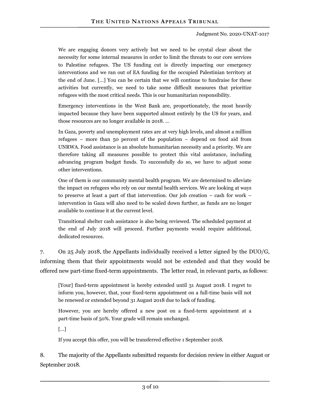We are engaging donors very actively but we need to be crystal clear about the necessity for some internal measures in order to limit the threats to our core services to Palestine refugees. The US funding cut is directly impacting our emergency interventions and we ran out of EA funding for the occupied Palestinian territory at the end of June. […] You can be certain that we will continue to fundraise for these activities but currently, we need to take some difficult measures that prioritize refugees with the most critical needs. This is our humanitarian responsibility.

Emergency interventions in the West Bank are, proportionately, the most heavily impacted because they have been supported almost entirely by the US for years, and those resources are no longer available in 2018. …

In Gaza, poverty and unemployment rates are at very high levels, and almost a million refugees – more than 50 percent of the population – depend on food aid from UNRWA. Food assistance is an absolute humanitarian necessity and a priority. We are therefore taking all measures possible to protect this vital assistance, including advancing program budget funds. To successfully do so, we have to adjust some other interventions.

One of them is our community mental health program. We are determined to alleviate the impact on refugees who rely on our mental health services. We are looking at ways to preserve at least a part of that intervention. Our job creation – cash for work – intervention in Gaza will also need to be scaled down further, as funds are no longer available to continue it at the current level.

Transitional shelter cash assistance is also being reviewed. The scheduled payment at the end of July 2018 will proceed. Further payments would require additional, dedicated resources.

7. On 25 July 2018, the Appellants individually received a letter signed by the DUO/G, informing them that their appointments would not be extended and that they would be offered new part-time fixed-term appointments. The letter read, in relevant parts, as follows:

[Your] fixed-term appointment is hereby extended until 31 August 2018. I regret to inform you, however, that, your fixed-term appointment on a full-time basis will not be renewed or extended beyond 31 August 2018 due to lack of funding.

However, you are hereby offered a new post on a fixed-term appointment at a part-time basis of 50%. Your grade will remain unchanged.

[…]

If you accept this offer, you will be transferred effective 1 September 2018.

8. The majority of the Appellants submitted requests for decision review in either August or September 2018.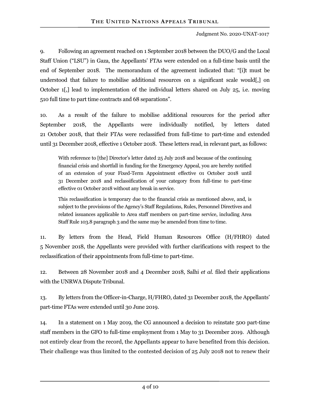9. Following an agreement reached on 1 September 2018 between the DUO/G and the Local Staff Union ("LSU") in Gaza, the Appellants' FTAs were extended on a full-time basis until the end of September 2018. The memorandum of the agreement indicated that: "[i]t must be understood that failure to mobilise additional resources on a significant scale would[,] on October 1[,] lead to implementation of the individual letters shared on July 25, i.e. moving 510 full time to part time contracts and 68 separations".

10. As a result of the failure to mobilise additional resources for the period after September 2018, the Appellants were individually notified, by letters dated 21 October 2018, that their FTAs were reclassified from full-time to part-time and extended until 31 December 2018, effective 1 October 2018. These letters read, in relevant part, as follows:

With reference to [the] Director's letter dated 25 July 2018 and because of the continuing financial crisis and shortfall in funding for the Emergency Appeal, you are hereby notified of an extension of your Fixed-Term Appointment effective 01 October 2018 until 31 December 2018 and reclassification of your category from full-time to part-time effective 01 October 2018 without any break in service.

This reclassification is temporary due to the financial crisis as mentioned above, and, is subject to the provisions of the Agency's Staff Regulations, Rules, Personnel Directives and related issuances applicable to Area staff members on part-time service, including Area Staff Rule 103.8 paragraph 3 and the same may be amended from time to time.

11. By letters from the Head, Field Human Resources Office (H/FHRO) dated 5 November 2018, the Appellants were provided with further clarifications with respect to the reclassification of their appointments from full-time to part-time.

12. Between 28 November 2018 and 4 December 2018, Salhi *et al.* filed their applications with the UNRWA Dispute Tribunal.

13. By letters from the Officer-in-Charge, H/FHRO, dated 31 December 2018, the Appellants' part-time FTAs were extended until 30 June 2019.

14. In a statement on 1 May 2019, the CG announced a decision to reinstate 500 part-time staff members in the GFO to full-time employment from 1 May to 31 December 2019. Although not entirely clear from the record, the Appellants appear to have benefited from this decision. Their challenge was thus limited to the contested decision of 25 July 2018 not to renew their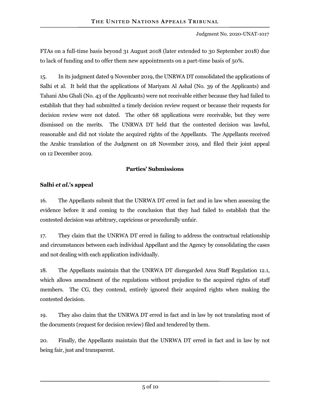FTAs on a full-time basis beyond 31 August 2018 (later extended to 30 September 2018) due to lack of funding and to offer them new appointments on a part-time basis of 50%.

15. In its judgment dated 9 November 2019, the UNRWA DT consolidated the applications of Salhi et al. It held that the applications of Mariyam Al Ashal (No. 39 of the Applicants) and Tahani Abu Ghali (No. 43 of the Applicants) were not receivable either because they had failed to establish that they had submitted a timely decision review request or because their requests for decision review were not dated. The other 68 applications were receivable, but they were dismissed on the merits. The UNRWA DT held that the contested decision was lawful, reasonable and did not violate the acquired rights of the Appellants. The Appellants received the Arabic translation of the Judgment on 28 November 2019, and filed their joint appeal on 12 December 2019.

## **Parties' Submissions**

## **Salhi** *et al***.'s appeal**

16. The Appellants submit that the UNRWA DT erred in fact and in law when assessing the evidence before it and coming to the conclusion that they had failed to establish that the contested decision was arbitrary, capricious or procedurally unfair.

17. They claim that the UNRWA DT erred in failing to address the contractual relationship and circumstances between each individual Appellant and the Agency by consolidating the cases and not dealing with each application individually.

18. The Appellants maintain that the UNRWA DT disregarded Area Staff Regulation 12.1, which allows amendment of the regulations without prejudice to the acquired rights of staff members. The CG, they contend, entirely ignored their acquired rights when making the contested decision.

19. They also claim that the UNRWA DT erred in fact and in law by not translating most of the documents (request for decision review) filed and tendered by them.

20. Finally, the Appellants maintain that the UNRWA DT erred in fact and in law by not being fair, just and transparent.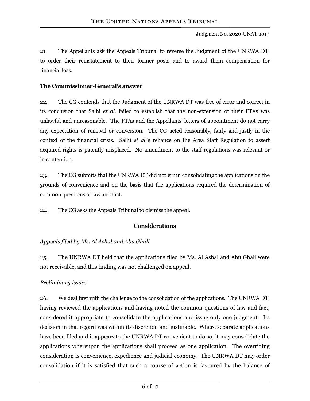21. The Appellants ask the Appeals Tribunal to reverse the Judgment of the UNRWA DT, to order their reinstatement to their former posts and to award them compensation for financial loss.

### **The Commissioner-General's answer**

22. The CG contends that the Judgment of the UNRWA DT was free of error and correct in its conclusion that Salhi *et al.* failed to establish that the non-extension of their FTAs was unlawful and unreasonable. The FTAs and the Appellants' letters of appointment do not carry any expectation of renewal or conversion. The CG acted reasonably, fairly and justly in the context of the financial crisis. Salhi *et al*.'s reliance on the Area Staff Regulation to assert acquired rights is patently misplaced. No amendment to the staff regulations was relevant or in contention.

23. The CG submits that the UNRWA DT did not err in consolidating the applications on the grounds of convenience and on the basis that the applications required the determination of common questions of law and fact.

24. The CG asks the Appeals Tribunal to dismiss the appeal.

## **Considerations**

## *Appeals filed by Ms. Al Ashal and Abu Ghali*

25. The UNRWA DT held that the applications filed by Ms. Al Ashal and Abu Ghali were not receivable, and this finding was not challenged on appeal.

## *Preliminary issues*

26. We deal first with the challenge to the consolidation of the applications. The UNRWA DT, having reviewed the applications and having noted the common questions of law and fact, considered it appropriate to consolidate the applications and issue only one judgment. Its decision in that regard was within its discretion and justifiable. Where separate applications have been filed and it appears to the UNRWA DT convenient to do so, it may consolidate the applications whereupon the applications shall proceed as one application. The overriding consideration is convenience, expedience and judicial economy. The UNRWA DT may order consolidation if it is satisfied that such a course of action is favoured by the balance of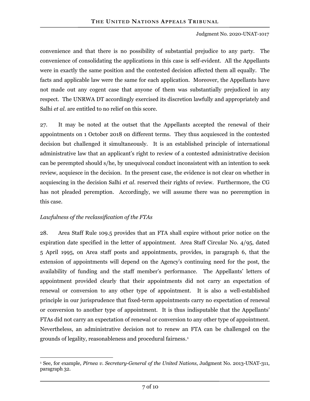convenience and that there is no possibility of substantial prejudice to any party. The convenience of consolidating the applications in this case is self-evident. All the Appellants were in exactly the same position and the contested decision affected them all equally. The facts and applicable law were the same for each application. Moreover, the Appellants have not made out any cogent case that anyone of them was substantially prejudiced in any respect. The UNRWA DT accordingly exercised its discretion lawfully and appropriately and Salhi *et al.* are entitled to no relief on this score.

27. It may be noted at the outset that the Appellants accepted the renewal of their appointments on 1 October 2018 on different terms. They thus acquiesced in the contested decision but challenged it simultaneously. It is an established principle of international administrative law that an applicant's right to review of a contested administrative decision can be perempted should s/he, by unequivocal conduct inconsistent with an intention to seek review, acquiesce in the decision. In the present case, the evidence is not clear on whether in acquiescing in the decision Salhi *et al.* reserved their rights of review. Furthermore, the CG has not pleaded peremption. Accordingly, we will assume there was no peeremption in this case.

### *Lawfulness of the reclassification of the FTAs*

28. Area Staff Rule 109.5 provides that an FTA shall expire without prior notice on the expiration date specified in the letter of appointment. Area Staff Circular No. 4/95, dated 5 April 1995, on Area staff posts and appointments, provides, in paragraph 6, that the extension of appointments will depend on the Agency's continuing need for the post, the availability of funding and the staff member's performance. The Appellants' letters of appointment provided clearly that their appointments did not carry an expectation of renewal or conversion to any other type of appointment. It is also a well-established principle in our jurisprudence that fixed-term appointments carry no expectation of renewal or conversion to another type of appointment. It is thus indisputable that the Appellants' FTAs did not carry an expectation of renewal or conversion to any other type of appointment. Nevertheless, an administrative decision not to renew an FTA can be challenged on the grounds of legality, reasonableness and procedural fairness.<sup>[1](#page-6-0)</sup>

<span id="page-6-0"></span> $\overline{a}$ <sup>1</sup> See, for example, *Pirnea v. Secretary-General of the United Nations*, Judgment No. 2013-UNAT-311, paragraph 32.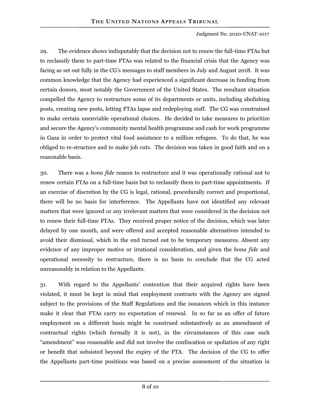29. The evidence shows indisputably that the decision not to renew the full-time FTAs but to reclassify them to part-time FTAs was related to the financial crisis that the Agency was facing as set out fully in the CG's messages to staff members in July and August 2018. It was common knowledge that the Agency had experienced a significant decrease in funding from certain donors, most notably the Government of the United States. The resultant situation compelled the Agency to restructure some of its departments or units, including abolishing posts, creating new posts, letting FTAs lapse and redeploying staff. The CG was constrained to make certain unenviable operational choices. He decided to take measures to prioritize and secure the Agency's community mental health programme and cash for work programme in Gaza in order to protect vital food assistance to a million refugees. To do that, he was obliged to re-structure and to make job cuts. The decision was taken in good faith and on a reasonable basis.

30. There was a *bona fide* reason to restructure and it was operationally rational not to renew certain FTAs on a full-time basis but to reclassify them to part-time appointments. If an exercise of discretion by the CG is legal, rational, procedurally correct and proportional, there will be no basis for interference. The Appellants have not identified any relevant matters that were ignored or any irrelevant matters that were considered in the decision not to renew their full-time FTAs. They received proper notice of the decision, which was later delayed by one month, and were offered and accepted reasonable alternatives intended to avoid their dismissal, which in the end turned out to be temporary measures. Absent any evidence of any improper motive or irrational consideration, and given the *bona fide* and operational necessity to restructure, there is no basis to conclude that the CG acted unreasonably in relation to the Appellants.

31. With regard to the Appellants' contention that their acquired rights have been violated, it must be kept in mind that employment contracts with the Agency are signed subject to the provisions of the Staff Regulations and the issuances which in this instance make it clear that FTAs carry no expectation of renewal. In so far as an offer of future employment on a different basis might be construed substantively as an amendment of contractual rights (which formally it is not), in the circumstances of this case such "amendment" was reasonable and did not involve the confiscation or spoliation of any right or benefit that subsisted beyond the expiry of the FTA. The decision of the CG to offer the Appellants part-time positions was based on a precise assessment of the situation in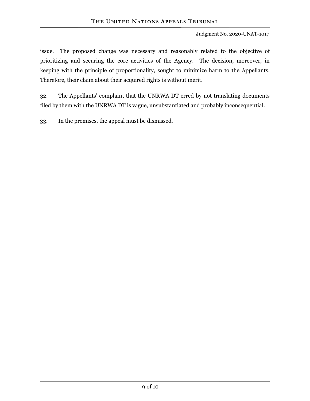issue. The proposed change was necessary and reasonably related to the objective of prioritizing and securing the core activities of the Agency. The decision, moreover, in keeping with the principle of proportionality, sought to minimize harm to the Appellants. Therefore, their claim about their acquired rights is without merit.

32. The Appellants' complaint that the UNRWA DT erred by not translating documents filed by them with the UNRWA DT is vague, unsubstantiated and probably inconsequential.

33. In the premises, the appeal must be dismissed.